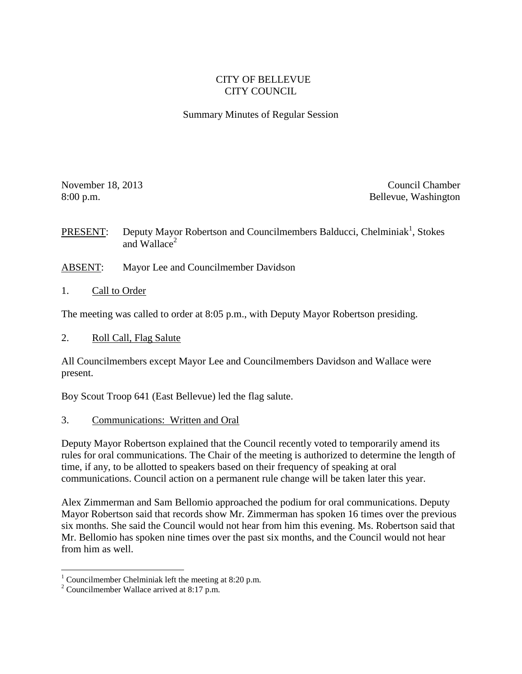# CITY OF BELLEVUE CITY COUNCIL

### Summary Minutes of Regular Session

November 18, 2013 Council Chamber 18, 2013 8:00 p.m. Bellevue, Washington

**PRESENT:** Deputy Mayor Robertson and Councilmembers Balducci, Chelminiak<sup>1</sup>, Stokes and Wallace $^2$ 

- ABSENT: Mayor Lee and Councilmember Davidson
- 1. Call to Order

The meeting was called to order at 8:05 p.m., with Deputy Mayor Robertson presiding.

2. Roll Call, Flag Salute

All Councilmembers except Mayor Lee and Councilmembers Davidson and Wallace were present.

Boy Scout Troop 641 (East Bellevue) led the flag salute.

3. Communications: Written and Oral

Deputy Mayor Robertson explained that the Council recently voted to temporarily amend its rules for oral communications. The Chair of the meeting is authorized to determine the length of time, if any, to be allotted to speakers based on their frequency of speaking at oral communications. Council action on a permanent rule change will be taken later this year.

Alex Zimmerman and Sam Bellomio approached the podium for oral communications. Deputy Mayor Robertson said that records show Mr. Zimmerman has spoken 16 times over the previous six months. She said the Council would not hear from him this evening. Ms. Robertson said that Mr. Bellomio has spoken nine times over the past six months, and the Council would not hear from him as well.

 $\overline{a}$ 

<sup>&</sup>lt;sup>1</sup> Councilmember Chelminiak left the meeting at 8:20 p.m.

<sup>2</sup> Councilmember Wallace arrived at 8:17 p.m.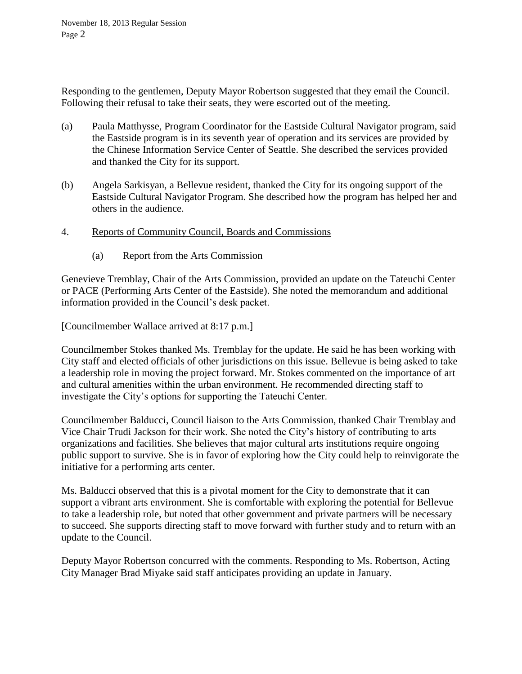Responding to the gentlemen, Deputy Mayor Robertson suggested that they email the Council. Following their refusal to take their seats, they were escorted out of the meeting.

- (a) Paula Matthysse, Program Coordinator for the Eastside Cultural Navigator program, said the Eastside program is in its seventh year of operation and its services are provided by the Chinese Information Service Center of Seattle. She described the services provided and thanked the City for its support.
- (b) Angela Sarkisyan, a Bellevue resident, thanked the City for its ongoing support of the Eastside Cultural Navigator Program. She described how the program has helped her and others in the audience.
- 4. Reports of Community Council, Boards and Commissions
	- (a) Report from the Arts Commission

Genevieve Tremblay, Chair of the Arts Commission, provided an update on the Tateuchi Center or PACE (Performing Arts Center of the Eastside). She noted the memorandum and additional information provided in the Council's desk packet.

[Councilmember Wallace arrived at 8:17 p.m.]

Councilmember Stokes thanked Ms. Tremblay for the update. He said he has been working with City staff and elected officials of other jurisdictions on this issue. Bellevue is being asked to take a leadership role in moving the project forward. Mr. Stokes commented on the importance of art and cultural amenities within the urban environment. He recommended directing staff to investigate the City's options for supporting the Tateuchi Center.

Councilmember Balducci, Council liaison to the Arts Commission, thanked Chair Tremblay and Vice Chair Trudi Jackson for their work. She noted the City's history of contributing to arts organizations and facilities. She believes that major cultural arts institutions require ongoing public support to survive. She is in favor of exploring how the City could help to reinvigorate the initiative for a performing arts center.

Ms. Balducci observed that this is a pivotal moment for the City to demonstrate that it can support a vibrant arts environment. She is comfortable with exploring the potential for Bellevue to take a leadership role, but noted that other government and private partners will be necessary to succeed. She supports directing staff to move forward with further study and to return with an update to the Council.

Deputy Mayor Robertson concurred with the comments. Responding to Ms. Robertson, Acting City Manager Brad Miyake said staff anticipates providing an update in January.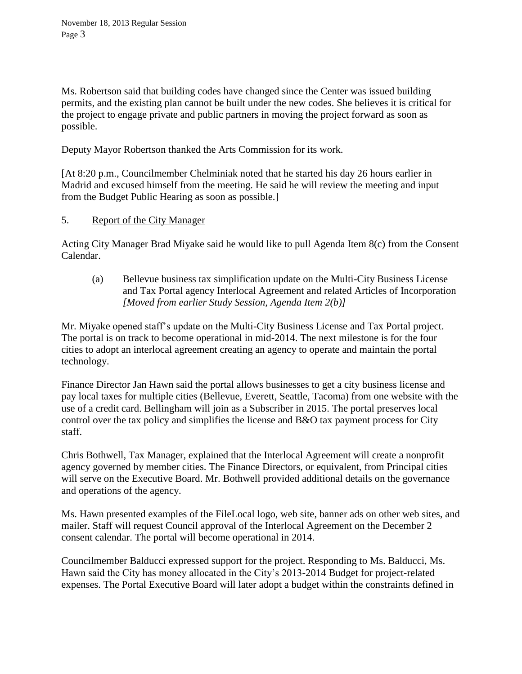Ms. Robertson said that building codes have changed since the Center was issued building permits, and the existing plan cannot be built under the new codes. She believes it is critical for the project to engage private and public partners in moving the project forward as soon as possible.

Deputy Mayor Robertson thanked the Arts Commission for its work.

[At 8:20 p.m., Councilmember Chelminiak noted that he started his day 26 hours earlier in Madrid and excused himself from the meeting. He said he will review the meeting and input from the Budget Public Hearing as soon as possible.]

5. Report of the City Manager

Acting City Manager Brad Miyake said he would like to pull Agenda Item 8(c) from the Consent Calendar.

(a) Bellevue business tax simplification update on the Multi-City Business License and Tax Portal agency Interlocal Agreement and related Articles of Incorporation *[Moved from earlier Study Session, Agenda Item 2(b)]*

Mr. Miyake opened staff's update on the Multi-City Business License and Tax Portal project. The portal is on track to become operational in mid-2014. The next milestone is for the four cities to adopt an interlocal agreement creating an agency to operate and maintain the portal technology.

Finance Director Jan Hawn said the portal allows businesses to get a city business license and pay local taxes for multiple cities (Bellevue, Everett, Seattle, Tacoma) from one website with the use of a credit card. Bellingham will join as a Subscriber in 2015. The portal preserves local control over the tax policy and simplifies the license and B&O tax payment process for City staff.

Chris Bothwell, Tax Manager, explained that the Interlocal Agreement will create a nonprofit agency governed by member cities. The Finance Directors, or equivalent, from Principal cities will serve on the Executive Board. Mr. Bothwell provided additional details on the governance and operations of the agency.

Ms. Hawn presented examples of the FileLocal logo, web site, banner ads on other web sites, and mailer. Staff will request Council approval of the Interlocal Agreement on the December 2 consent calendar. The portal will become operational in 2014.

Councilmember Balducci expressed support for the project. Responding to Ms. Balducci, Ms. Hawn said the City has money allocated in the City's 2013-2014 Budget for project-related expenses. The Portal Executive Board will later adopt a budget within the constraints defined in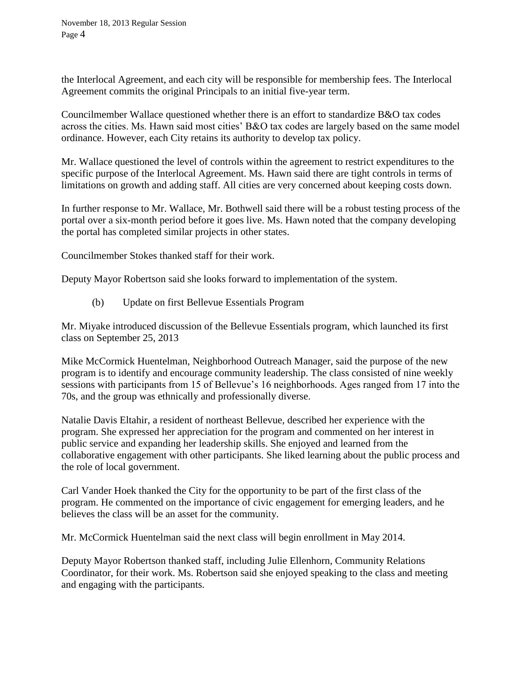the Interlocal Agreement, and each city will be responsible for membership fees. The Interlocal Agreement commits the original Principals to an initial five-year term.

Councilmember Wallace questioned whether there is an effort to standardize B&O tax codes across the cities. Ms. Hawn said most cities' B&O tax codes are largely based on the same model ordinance. However, each City retains its authority to develop tax policy.

Mr. Wallace questioned the level of controls within the agreement to restrict expenditures to the specific purpose of the Interlocal Agreement. Ms. Hawn said there are tight controls in terms of limitations on growth and adding staff. All cities are very concerned about keeping costs down.

In further response to Mr. Wallace, Mr. Bothwell said there will be a robust testing process of the portal over a six-month period before it goes live. Ms. Hawn noted that the company developing the portal has completed similar projects in other states.

Councilmember Stokes thanked staff for their work.

Deputy Mayor Robertson said she looks forward to implementation of the system.

(b) Update on first Bellevue Essentials Program

Mr. Miyake introduced discussion of the Bellevue Essentials program, which launched its first class on September 25, 2013

Mike McCormick Huentelman, Neighborhood Outreach Manager, said the purpose of the new program is to identify and encourage community leadership. The class consisted of nine weekly sessions with participants from 15 of Bellevue's 16 neighborhoods. Ages ranged from 17 into the 70s, and the group was ethnically and professionally diverse.

Natalie Davis Eltahir, a resident of northeast Bellevue, described her experience with the program. She expressed her appreciation for the program and commented on her interest in public service and expanding her leadership skills. She enjoyed and learned from the collaborative engagement with other participants. She liked learning about the public process and the role of local government.

Carl Vander Hoek thanked the City for the opportunity to be part of the first class of the program. He commented on the importance of civic engagement for emerging leaders, and he believes the class will be an asset for the community.

Mr. McCormick Huentelman said the next class will begin enrollment in May 2014.

Deputy Mayor Robertson thanked staff, including Julie Ellenhorn, Community Relations Coordinator, for their work. Ms. Robertson said she enjoyed speaking to the class and meeting and engaging with the participants.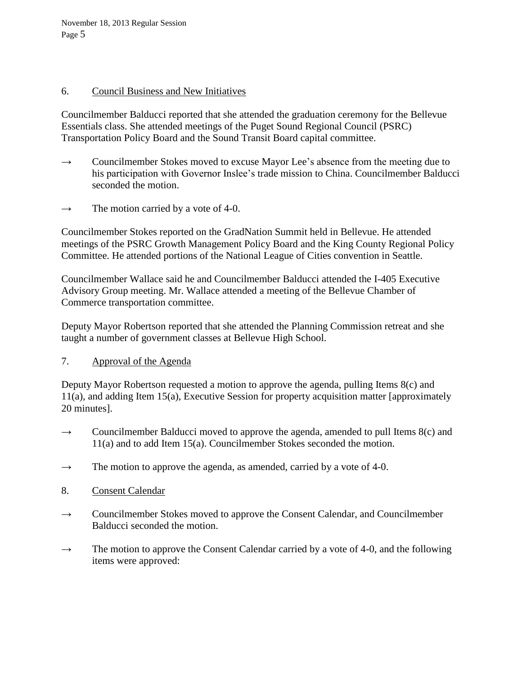November 18, 2013 Regular Session Page 5

### 6. Council Business and New Initiatives

Councilmember Balducci reported that she attended the graduation ceremony for the Bellevue Essentials class. She attended meetings of the Puget Sound Regional Council (PSRC) Transportation Policy Board and the Sound Transit Board capital committee.

- $\rightarrow$  Councilmember Stokes moved to excuse Mayor Lee's absence from the meeting due to his participation with Governor Inslee's trade mission to China. Councilmember Balducci seconded the motion.
- $\rightarrow$  The motion carried by a vote of 4-0.

Councilmember Stokes reported on the GradNation Summit held in Bellevue. He attended meetings of the PSRC Growth Management Policy Board and the King County Regional Policy Committee. He attended portions of the National League of Cities convention in Seattle.

Councilmember Wallace said he and Councilmember Balducci attended the I-405 Executive Advisory Group meeting. Mr. Wallace attended a meeting of the Bellevue Chamber of Commerce transportation committee.

Deputy Mayor Robertson reported that she attended the Planning Commission retreat and she taught a number of government classes at Bellevue High School.

7. Approval of the Agenda

Deputy Mayor Robertson requested a motion to approve the agenda, pulling Items 8(c) and 11(a), and adding Item 15(a), Executive Session for property acquisition matter [approximately 20 minutes].

- $\rightarrow$  Councilmember Balducci moved to approve the agenda, amended to pull Items 8(c) and 11(a) and to add Item 15(a). Councilmember Stokes seconded the motion.
- $\rightarrow$  The motion to approve the agenda, as amended, carried by a vote of 4-0.
- 8. Consent Calendar
- $\rightarrow$  Councilmember Stokes moved to approve the Consent Calendar, and Councilmember Balducci seconded the motion.
- $\rightarrow$  The motion to approve the Consent Calendar carried by a vote of 4-0, and the following items were approved: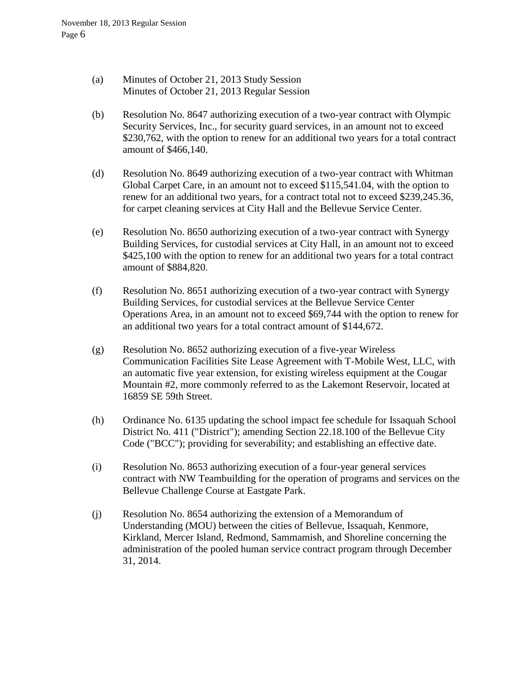- (a) Minutes of October 21, 2013 Study Session Minutes of October 21, 2013 Regular Session
- (b) Resolution No. 8647 authorizing execution of a two-year contract with Olympic Security Services, Inc., for security guard services, in an amount not to exceed \$230,762, with the option to renew for an additional two years for a total contract amount of \$466,140.
- (d) Resolution No. 8649 authorizing execution of a two-year contract with Whitman Global Carpet Care, in an amount not to exceed \$115,541.04, with the option to renew for an additional two years, for a contract total not to exceed \$239,245.36, for carpet cleaning services at City Hall and the Bellevue Service Center.
- (e) Resolution No. 8650 authorizing execution of a two-year contract with Synergy Building Services, for custodial services at City Hall, in an amount not to exceed \$425,100 with the option to renew for an additional two years for a total contract amount of \$884,820.
- (f) Resolution No. 8651 authorizing execution of a two-year contract with Synergy Building Services, for custodial services at the Bellevue Service Center Operations Area, in an amount not to exceed \$69,744 with the option to renew for an additional two years for a total contract amount of \$144,672.
- (g) Resolution No. 8652 authorizing execution of a five-year Wireless Communication Facilities Site Lease Agreement with T-Mobile West, LLC, with an automatic five year extension, for existing wireless equipment at the Cougar Mountain #2, more commonly referred to as the Lakemont Reservoir, located at 16859 SE 59th Street.
- (h) Ordinance No. 6135 updating the school impact fee schedule for Issaquah School District No. 411 ("District"); amending Section 22.18.100 of the Bellevue City Code ("BCC"); providing for severability; and establishing an effective date.
- (i) Resolution No. 8653 authorizing execution of a four-year general services contract with NW Teambuilding for the operation of programs and services on the Bellevue Challenge Course at Eastgate Park.
- (j) Resolution No. 8654 authorizing the extension of a Memorandum of Understanding (MOU) between the cities of Bellevue, Issaquah, Kenmore, Kirkland, Mercer Island, Redmond, Sammamish, and Shoreline concerning the administration of the pooled human service contract program through December 31, 2014.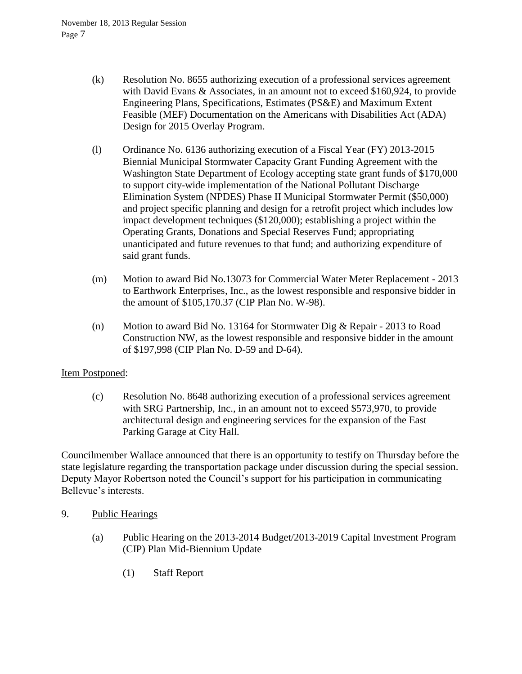- (k) Resolution No. 8655 authorizing execution of a professional services agreement with David Evans & Associates, in an amount not to exceed \$160,924, to provide Engineering Plans, Specifications, Estimates (PS&E) and Maximum Extent Feasible (MEF) Documentation on the Americans with Disabilities Act (ADA) Design for 2015 Overlay Program.
- (l) Ordinance No. 6136 authorizing execution of a Fiscal Year (FY) 2013-2015 Biennial Municipal Stormwater Capacity Grant Funding Agreement with the Washington State Department of Ecology accepting state grant funds of \$170,000 to support city-wide implementation of the National Pollutant Discharge Elimination System (NPDES) Phase II Municipal Stormwater Permit (\$50,000) and project specific planning and design for a retrofit project which includes low impact development techniques (\$120,000); establishing a project within the Operating Grants, Donations and Special Reserves Fund; appropriating unanticipated and future revenues to that fund; and authorizing expenditure of said grant funds.
- (m) Motion to award Bid No.13073 for Commercial Water Meter Replacement 2013 to Earthwork Enterprises, Inc., as the lowest responsible and responsive bidder in the amount of \$105,170.37 (CIP Plan No. W-98).
- (n) Motion to award Bid No. 13164 for Stormwater Dig & Repair 2013 to Road Construction NW, as the lowest responsible and responsive bidder in the amount of \$197,998 (CIP Plan No. D-59 and D-64).

# Item Postponed:

(c) Resolution No. 8648 authorizing execution of a professional services agreement with SRG Partnership, Inc., in an amount not to exceed \$573,970, to provide architectural design and engineering services for the expansion of the East Parking Garage at City Hall.

Councilmember Wallace announced that there is an opportunity to testify on Thursday before the state legislature regarding the transportation package under discussion during the special session. Deputy Mayor Robertson noted the Council's support for his participation in communicating Bellevue's interests.

- 9. Public Hearings
	- (a) Public Hearing on the 2013-2014 Budget/2013-2019 Capital Investment Program (CIP) Plan Mid-Biennium Update
		- (1) Staff Report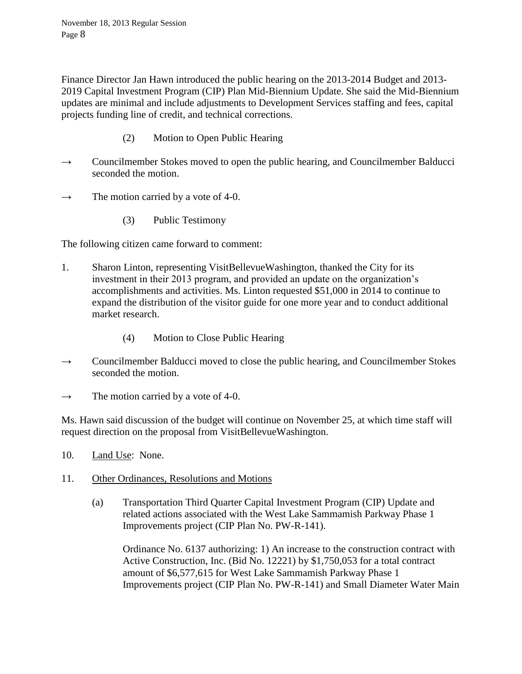November 18, 2013 Regular Session Page 8

Finance Director Jan Hawn introduced the public hearing on the 2013-2014 Budget and 2013- 2019 Capital Investment Program (CIP) Plan Mid-Biennium Update. She said the Mid-Biennium updates are minimal and include adjustments to Development Services staffing and fees, capital projects funding line of credit, and technical corrections.

- (2) Motion to Open Public Hearing
- $\rightarrow$  Councilmember Stokes moved to open the public hearing, and Councilmember Balducci seconded the motion.
- $\rightarrow$  The motion carried by a vote of 4-0.
	- (3) Public Testimony

The following citizen came forward to comment:

- 1. Sharon Linton, representing VisitBellevueWashington, thanked the City for its investment in their 2013 program, and provided an update on the organization's accomplishments and activities. Ms. Linton requested \$51,000 in 2014 to continue to expand the distribution of the visitor guide for one more year and to conduct additional market research.
	- (4) Motion to Close Public Hearing
- $\rightarrow$  Councilmember Balducci moved to close the public hearing, and Councilmember Stokes seconded the motion.
- $\rightarrow$  The motion carried by a vote of 4-0.

Ms. Hawn said discussion of the budget will continue on November 25, at which time staff will request direction on the proposal from VisitBellevueWashington.

- 10. Land Use: None.
- 11. Other Ordinances, Resolutions and Motions
	- (a) Transportation Third Quarter Capital Investment Program (CIP) Update and related actions associated with the West Lake Sammamish Parkway Phase 1 Improvements project (CIP Plan No. PW-R-141).

Ordinance No. 6137 authorizing: 1) An increase to the construction contract with Active Construction, Inc. (Bid No. 12221) by \$1,750,053 for a total contract amount of \$6,577,615 for West Lake Sammamish Parkway Phase 1 Improvements project (CIP Plan No. PW-R-141) and Small Diameter Water Main